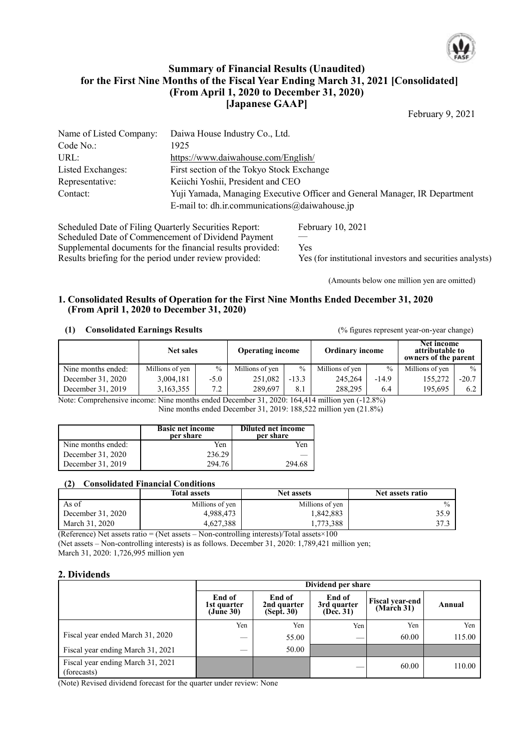

## **Summary of Financial Results (Unaudited) for the First Nine Months of the Fiscal Year Ending March 31, 2021 [Consolidated] (From April 1, 2020 to December 31, 2020) [Japanese GAAP]**

February 9, 2021

| Name of Listed Company: | Daiwa House Industry Co., Ltd.                                                                                              |
|-------------------------|-----------------------------------------------------------------------------------------------------------------------------|
| Code No.                | 1925                                                                                                                        |
| URL:                    | https://www.daiwahouse.com/English/                                                                                         |
| Listed Exchanges:       | First section of the Tokyo Stock Exchange                                                                                   |
| Representative:         | Keiichi Yoshii, President and CEO                                                                                           |
| Contact:                | Yuji Yamada, Managing Executive Officer and General Manager, IR Department<br>E-mail to: dh.ir.communications@daiwahouse.jp |
|                         |                                                                                                                             |

Scheduled Date of Filing Quarterly Securities Report: February 10, 2021 Scheduled Date of Commencement of Dividend Payment —<br>Supplemental documents for the financial results provided: Yes Supplemental documents for the financial results provided:<br>
Results briefing for the period under review provided:<br>
Yes (for institutional investors and securities analysts) Results briefing for the period under review provided:

(Amounts below one million yen are omitted)

### **1. Consolidated Results of Operation for the First Nine Months Ended December 31, 2020 (From April 1, 2020 to December 31, 2020)**

### **(1) Consolidated Earnings Results** (% figures represent year-on-year change)

|                    | <b>Operating income</b><br><b>Net sales</b> |        | <b>Ordinary income</b> |               | Net income<br>attributable to<br>owners of the parent |         |                 |               |
|--------------------|---------------------------------------------|--------|------------------------|---------------|-------------------------------------------------------|---------|-----------------|---------------|
| Nine months ended: | Millions of yen                             | $\%$   | Millions of yen        | $\frac{0}{0}$ | Millions of yen                                       | $\%$    | Millions of yen | $\frac{0}{0}$ |
| December 31, 2020  | 3.004.181                                   | $-5.0$ | 251.082                | $-13.3$       | 245,264                                               | $-14.9$ | 155,272         | $-20.7$       |
| December 31, 2019  | 3,163,355                                   | 7.2    | 289.697                | 8.1           | 288.295                                               | 6.4     | 195,695         | 6.2           |

Note: Comprehensive income: Nine months ended December 31, 2020: 164,414 million yen (-12.8%) Nine months ended December 31, 2019: 188,522 million yen (21.8%)

|                    | <b>Basic net income</b><br>per share | Diluted net income<br>per share |
|--------------------|--------------------------------------|---------------------------------|
| Nine months ended: | Yen                                  | Yen                             |
| December 31, 2020  | 236.29                               |                                 |
| December 31, 2019  | 294.76                               | 294.68                          |

## **(2) Consolidated Financial Conditions**

|                   | <b>Total assets</b> | <b>Net assets</b> | Net assets ratio |
|-------------------|---------------------|-------------------|------------------|
| As of             | Millions of yen     | Millions of yen   | $\frac{0}{0}$    |
| December 31, 2020 | 4,988,473           | 1,842,883         | 35.9             |
| March 31, 2020    | 4,627,388           | 1,773,388         |                  |

(Reference) Net assets ratio = (Net assets – Non-controlling interests)/Total assets $\times 100$ (Net assets – Non-controlling interests) is as follows. December 31, 2020: 1,789,421 million yen; March 31, 2020: 1,726,995 million yen

### **2. Dividends**

|                                                  | Dividend per share                              |                                     |                                    |                                      |        |  |
|--------------------------------------------------|-------------------------------------------------|-------------------------------------|------------------------------------|--------------------------------------|--------|--|
|                                                  | End of<br>1st quarter<br>$(Ju\hat{n}e\hat{30})$ | End of<br>2nd quarter<br>(Sept. 30) | End of<br>3rd quarter<br>(Dec. 31) | <b>Fiscal year-end</b><br>(March 31) | Annual |  |
|                                                  | Yen                                             | Yen                                 | Yen                                | Yen                                  | Yen    |  |
| Fiscal year ended March 31, 2020                 | __                                              | 55.00                               |                                    | 60.00                                | 115.00 |  |
| Fiscal year ending March 31, 2021                | _                                               | 50.00                               |                                    |                                      |        |  |
| Fiscal year ending March 31, 2021<br>(forecasts) |                                                 |                                     |                                    | 60.00                                | 110.00 |  |

(Note) Revised dividend forecast for the quarter under review: None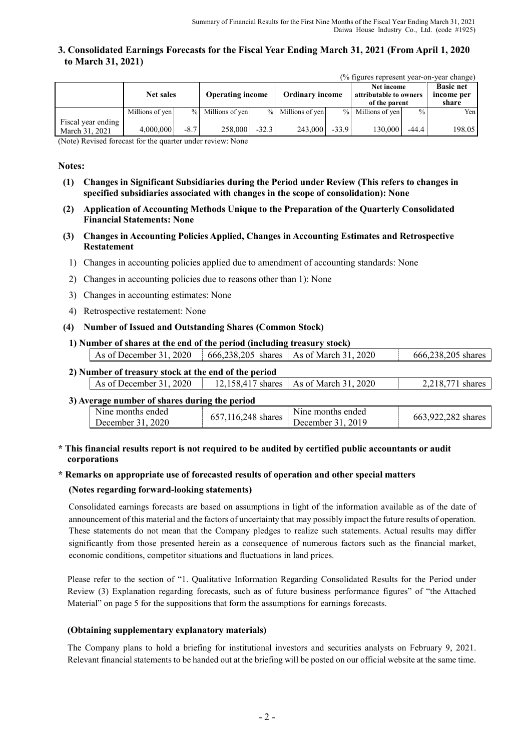### **3. Consolidated Earnings Forecasts for the Fiscal Year Ending March 31, 2021 (From April 1, 2020 to March 31, 2021)**

| (% figures represent year-on-year change) |  |
|-------------------------------------------|--|
|-------------------------------------------|--|

|                                      | <b>Net sales</b> |        | <b>Operating income</b> |         | <b>Ordinary income</b> |         | Net income<br>attributable to owners<br>of the parent |               | <b>Basic net</b><br>income per<br>share |
|--------------------------------------|------------------|--------|-------------------------|---------|------------------------|---------|-------------------------------------------------------|---------------|-----------------------------------------|
|                                      | Millions of yen  |        | % Millions of yen       |         | % Millions of yen      | $\%$    | Millions of yen                                       | $\frac{0}{0}$ | Yen                                     |
| Fiscal year ending<br>March 31, 2021 | 4,000,000        | $-8.7$ | 258,000                 | $-32.3$ | 243,000                | $-33.9$ | 130,000                                               | $-44.4$       | 198.05                                  |

(Note) Revised forecast for the quarter under review: None

#### **Notes:**

- **(1) Changes in Significant Subsidiaries during the Period under Review (This refers to changes in specified subsidiaries associated with changes in the scope of consolidation): None**
- **(2) Application of Accounting Methods Unique to the Preparation of the Quarterly Consolidated Financial Statements: None**
- **(3) Changes in Accounting Policies Applied, Changes in Accounting Estimates and Retrospective Restatement**
	- 1) Changes in accounting policies applied due to amendment of accounting standards: None
	- 2) Changes in accounting policies due to reasons other than 1): None
	- 3) Changes in accounting estimates: None
	- 4) Retrospective restatement: None

#### **(4) Number of Issued and Outstanding Shares (Common Stock)**

**1) Number of shares at the end of the period (including treasury stock)**

| As of December 31, 2020                              | $\frac{1}{2}$ 666,238,205 shares   As of March 31, 2020 | 666,238,205 shares |
|------------------------------------------------------|---------------------------------------------------------|--------------------|
| 2) Number of treasury stock at the end of the period |                                                         |                    |

| As of December 31, 2020 | 12,158,417 shares   As of March 31, 2020 | 2 218 771<br>shares |
|-------------------------|------------------------------------------|---------------------|
|                         |                                          |                     |

#### **3) Average number of shares during the period**

| N <sub>the</sub> months ended |                    | Nine months ended | 663,922,282 shares |
|-------------------------------|--------------------|-------------------|--------------------|
| December 31, 2020             | 657,116,248 shares | December 31, 2019 |                    |
|                               |                    |                   |                    |

### **\* This financial results report is not required to be audited by certified public accountants or audit corporations**

### **\* Remarks on appropriate use of forecasted results of operation and other special matters**

#### **(Notes regarding forward-looking statements)**

Consolidated earnings forecasts are based on assumptions in light of the information available as of the date of announcement of this material and the factors of uncertainty that may possibly impact the future results of operation. These statements do not mean that the Company pledges to realize such statements. Actual results may differ significantly from those presented herein as a consequence of numerous factors such as the financial market, economic conditions, competitor situations and fluctuations in land prices.

Please refer to the section of "1. Qualitative Information Regarding Consolidated Results for the Period under Review (3) Explanation regarding forecasts, such as of future business performance figures" of "the Attached Material" on page 5 for the suppositions that form the assumptions for earnings forecasts.

#### **(Obtaining supplementary explanatory materials)**

The Company plans to hold a briefing for institutional investors and securities analysts on February 9, 2021. Relevant financial statements to be handed out at the briefing will be posted on our official website at the same time.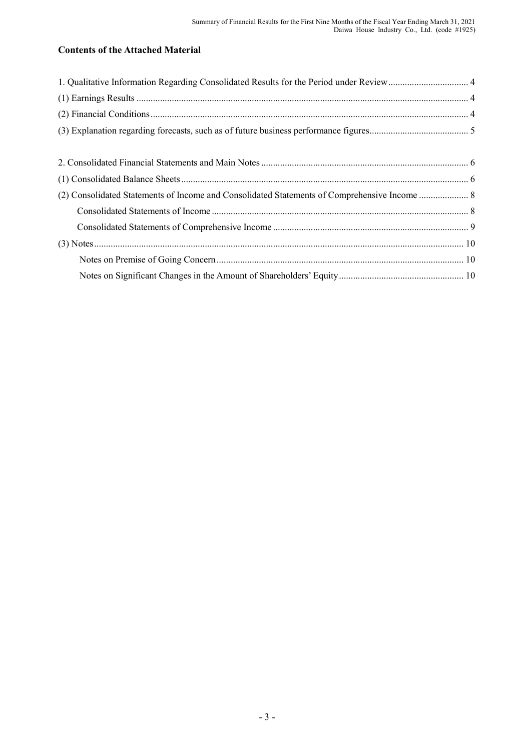# **Contents of the Attached Material**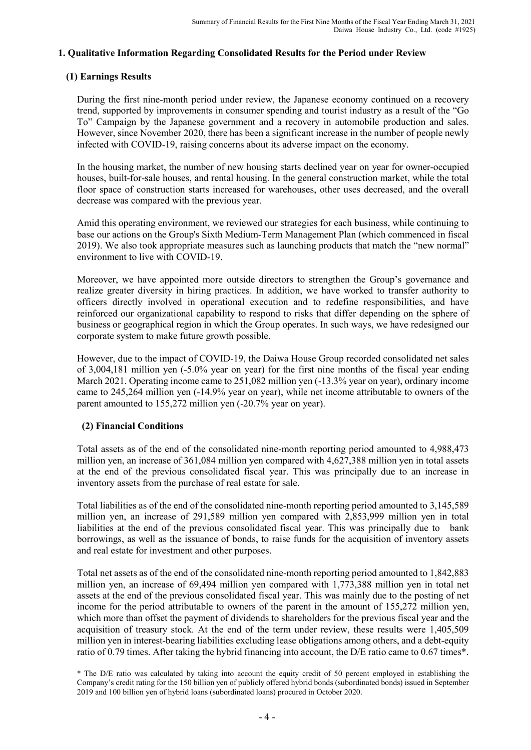## **1. Qualitative Information Regarding Consolidated Results for the Period under Review**

## **(1) Earnings Results**

During the first nine-month period under review, the Japanese economy continued on a recovery trend, supported by improvements in consumer spending and tourist industry as a result of the "Go To" Campaign by the Japanese government and a recovery in automobile production and sales. However, since November 2020, there has been a significant increase in the number of people newly infected with COVID-19, raising concerns about its adverse impact on the economy.

In the housing market, the number of new housing starts declined year on year for owner-occupied houses, built-for-sale houses, and rental housing. In the general construction market, while the total floor space of construction starts increased for warehouses, other uses decreased, and the overall decrease was compared with the previous year.

Amid this operating environment, we reviewed our strategies for each business, while continuing to base our actions on the Group's Sixth Medium-Term Management Plan (which commenced in fiscal 2019). We also took appropriate measures such as launching products that match the "new normal" environment to live with COVID-19.

Moreover, we have appointed more outside directors to strengthen the Group's governance and realize greater diversity in hiring practices. In addition, we have worked to transfer authority to officers directly involved in operational execution and to redefine responsibilities, and have reinforced our organizational capability to respond to risks that differ depending on the sphere of business or geographical region in which the Group operates. In such ways, we have redesigned our corporate system to make future growth possible.

However, due to the impact of COVID-19, the Daiwa House Group recorded consolidated net sales of 3,004,181 million yen (-5.0% year on year) for the first nine months of the fiscal year ending March 2021. Operating income came to 251,082 million yen  $(-13.3\%$  year on year), ordinary income came to 245,264 million yen (-14.9% year on year), while net income attributable to owners of the parent amounted to 155,272 million yen (-20.7% year on year).

## **(2) Financial Conditions**

Total assets as of the end of the consolidated nine-month reporting period amounted to 4,988,473 million yen, an increase of 361,084 million yen compared with 4,627,388 million yen in total assets at the end of the previous consolidated fiscal year. This was principally due to an increase in inventory assets from the purchase of real estate for sale.

Total liabilities as of the end of the consolidated nine-month reporting period amounted to 3,145,589 million yen, an increase of 291,589 million yen compared with 2,853,999 million yen in total liabilities at the end of the previous consolidated fiscal year. This was principally due to bank borrowings, as well as the issuance of bonds, to raise funds for the acquisition of inventory assets and real estate for investment and other purposes.

Total net assets as of the end of the consolidated nine-month reporting period amounted to 1,842,883 million yen, an increase of 69,494 million yen compared with 1,773,388 million yen in total net assets at the end of the previous consolidated fiscal year. This was mainly due to the posting of net income for the period attributable to owners of the parent in the amount of 155,272 million yen, which more than offset the payment of dividends to shareholders for the previous fiscal year and the acquisition of treasury stock. At the end of the term under review, these results were 1,405,509 million yen in interest-bearing liabilities excluding lease obligations among others, and a debt-equity ratio of 0.79 times. After taking the hybrid financing into account, the D/E ratio came to 0.67 times\*.

\* The D/E ratio was calculated by taking into account the equity credit of 50 percent employed in establishing the Company's credit rating for the 150 billion yen of publicly offered hybrid bonds (subordinated bonds) issued in September 2019 and 100 billion yen of hybrid loans (subordinated loans) procured in October 2020.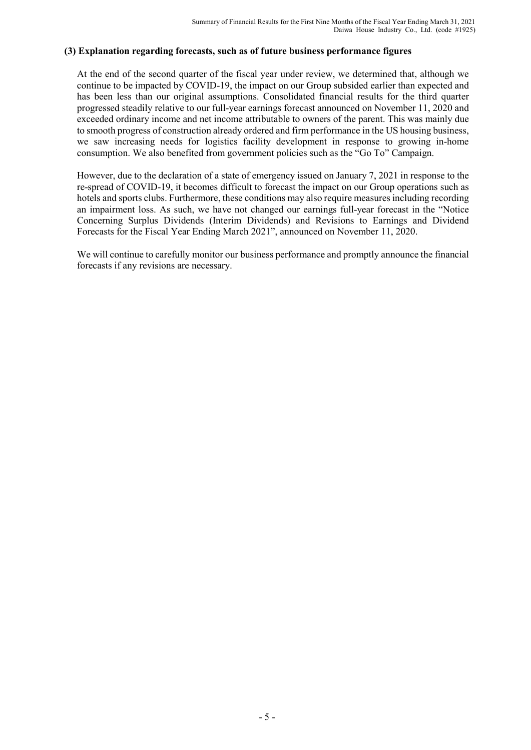## **(3) Explanation regarding forecasts, such as of future business performance figures**

At the end of the second quarter of the fiscal year under review, we determined that, although we continue to be impacted by COVID-19, the impact on our Group subsided earlier than expected and has been less than our original assumptions. Consolidated financial results for the third quarter progressed steadily relative to our full-year earnings forecast announced on November 11, 2020 and exceeded ordinary income and net income attributable to owners of the parent. This was mainly due to smooth progress of construction already ordered and firm performance in the US housing business, we saw increasing needs for logistics facility development in response to growing in-home consumption. We also benefited from government policies such as the "Go To" Campaign.

However, due to the declaration of a state of emergency issued on January 7, 2021 in response to the re-spread of COVID-19, it becomes difficult to forecast the impact on our Group operations such as hotels and sports clubs. Furthermore, these conditions may also require measures including recording an impairment loss. As such, we have not changed our earnings full-year forecast in the "Notice Concerning Surplus Dividends (Interim Dividends) and Revisions to Earnings and Dividend Forecasts for the Fiscal Year Ending March 2021", announced on November 11, 2020.

We will continue to carefully monitor our business performance and promptly announce the financial forecasts if any revisions are necessary.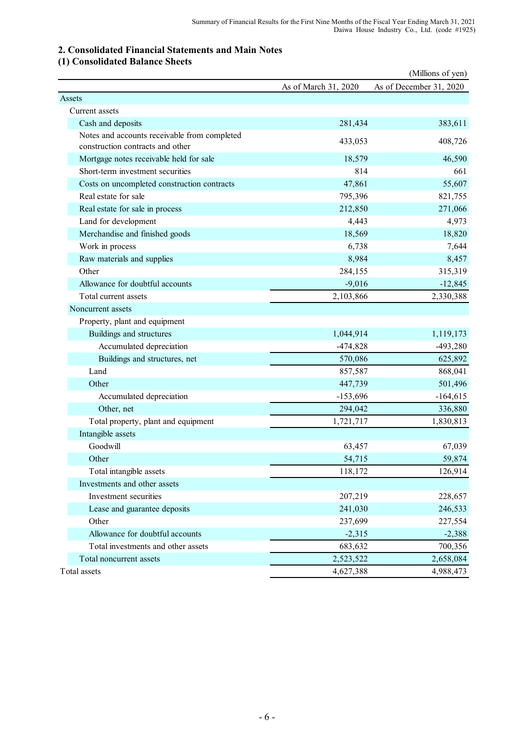## **2. Consolidated Financial Statements and Main Notes**

# **(1) Consolidated Balance Sheets**

|                                                                                  |                      | (Millions of yen)       |
|----------------------------------------------------------------------------------|----------------------|-------------------------|
|                                                                                  | As of March 31, 2020 | As of December 31, 2020 |
| Assets                                                                           |                      |                         |
| Current assets                                                                   |                      |                         |
| Cash and deposits                                                                | 281,434              | 383,611                 |
| Notes and accounts receivable from completed<br>construction contracts and other | 433,053              | 408,726                 |
| Mortgage notes receivable held for sale                                          | 18,579               | 46,590                  |
| Short-term investment securities                                                 | 814                  | 661                     |
| Costs on uncompleted construction contracts                                      | 47,861               | 55,607                  |
| Real estate for sale                                                             | 795,396              | 821,755                 |
| Real estate for sale in process                                                  | 212,850              | 271,066                 |
| Land for development                                                             | 4,443                | 4,973                   |
| Merchandise and finished goods                                                   | 18,569               | 18,820                  |
| Work in process                                                                  | 6,738                | 7,644                   |
| Raw materials and supplies                                                       | 8,984                | 8,457                   |
| Other                                                                            | 284,155              | 315,319                 |
| Allowance for doubtful accounts                                                  | $-9,016$             | $-12,845$               |
| Total current assets                                                             | 2,103,866            | 2,330,388               |
| Noncurrent assets                                                                |                      |                         |
| Property, plant and equipment                                                    |                      |                         |
| Buildings and structures                                                         | 1,044,914            | 1,119,173               |
| Accumulated depreciation                                                         | $-474,828$           | $-493,280$              |
| Buildings and structures, net                                                    | 570,086              | 625,892                 |
| Land                                                                             | 857,587              | 868,041                 |
| Other                                                                            | 447,739              | 501,496                 |
| Accumulated depreciation                                                         | $-153,696$           | $-164,615$              |
| Other, net                                                                       | 294,042              | 336,880                 |
| Total property, plant and equipment                                              | 1,721,717            | 1,830,813               |
| Intangible assets                                                                |                      |                         |
| Goodwill                                                                         | 63,457               | 67,039                  |
| Other                                                                            | 54,715               | 59,874                  |
| Total intangible assets                                                          | 118,172              | 126,914                 |
| Investments and other assets                                                     |                      |                         |
| Investment securities                                                            | 207,219              | 228,657                 |
| Lease and guarantee deposits                                                     | 241,030              | 246,533                 |
| Other                                                                            | 237,699              | 227,554                 |
| Allowance for doubtful accounts                                                  | $-2,315$             | $-2,388$                |
| Total investments and other assets                                               | 683,632              | 700,356                 |
| Total noncurrent assets                                                          | 2,523,522            | 2,658,084               |
| Total assets                                                                     | 4,627,388            | 4,988,473               |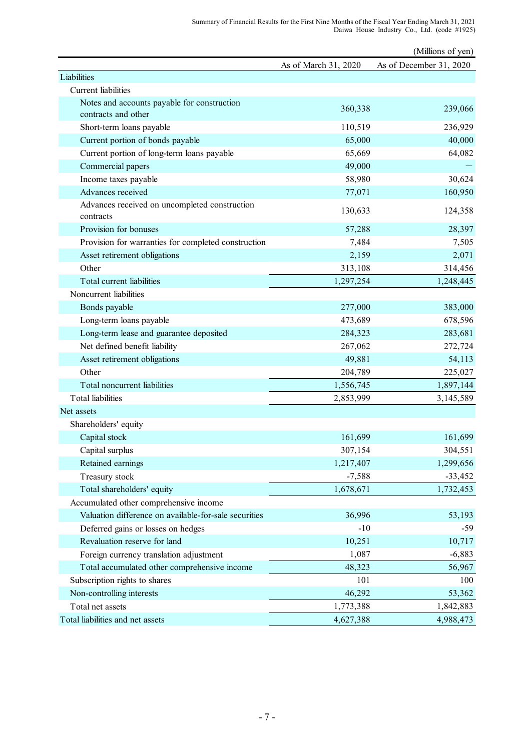|                                                            |                      | (Millions of yen)       |
|------------------------------------------------------------|----------------------|-------------------------|
|                                                            | As of March 31, 2020 | As of December 31, 2020 |
| Liabilities                                                |                      |                         |
| Current liabilities                                        |                      |                         |
| Notes and accounts payable for construction                | 360,338              | 239,066                 |
| contracts and other                                        |                      |                         |
| Short-term loans payable                                   | 110,519              | 236,929                 |
| Current portion of bonds payable                           | 65,000               | 40,000                  |
| Current portion of long-term loans payable                 | 65,669               | 64,082                  |
| Commercial papers                                          | 49,000               |                         |
| Income taxes payable                                       | 58,980               | 30,624                  |
| Advances received                                          | 77,071               | 160,950                 |
| Advances received on uncompleted construction<br>contracts | 130,633              | 124,358                 |
| Provision for bonuses                                      | 57,288               | 28,397                  |
| Provision for warranties for completed construction        | 7,484                | 7,505                   |
| Asset retirement obligations                               | 2,159                | 2,071                   |
| Other                                                      | 313,108              | 314,456                 |
| Total current liabilities                                  | 1,297,254            | 1,248,445               |
| Noncurrent liabilities                                     |                      |                         |
| Bonds payable                                              | 277,000              | 383,000                 |
| Long-term loans payable                                    | 473,689              | 678,596                 |
| Long-term lease and guarantee deposited                    | 284,323              | 283,681                 |
| Net defined benefit liability                              | 267,062              | 272,724                 |
| Asset retirement obligations                               | 49,881               | 54,113                  |
| Other                                                      | 204,789              | 225,027                 |
| Total noncurrent liabilities                               | 1,556,745            | 1,897,144               |
| <b>Total</b> liabilities                                   | 2,853,999            | 3,145,589               |
| Net assets                                                 |                      |                         |
| Shareholders' equity                                       |                      |                         |
| Capital stock                                              | 161,699              | 161,699                 |
| Capital surplus                                            | 307,154              | 304,551                 |
| Retained earnings                                          | 1,217,407            | 1,299,656               |
| Treasury stock                                             | $-7,588$             | $-33,452$               |
| Total shareholders' equity                                 | 1,678,671            | 1,732,453               |
| Accumulated other comprehensive income                     |                      |                         |
| Valuation difference on available-for-sale securities      | 36,996               | 53,193                  |
| Deferred gains or losses on hedges                         | $-10$                | $-59$                   |
| Revaluation reserve for land                               | 10,251               | 10,717                  |
| Foreign currency translation adjustment                    | 1,087                | $-6,883$                |
| Total accumulated other comprehensive income               | 48,323               | 56,967                  |
| Subscription rights to shares                              | 101                  | 100                     |
| Non-controlling interests                                  | 46,292               | 53,362                  |
| Total net assets                                           | 1,773,388            | 1,842,883               |
| Total liabilities and net assets                           | 4,627,388            | 4,988,473               |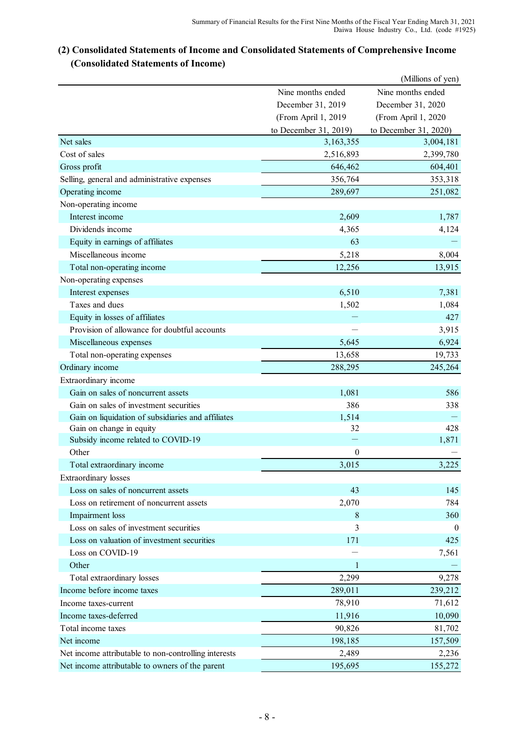# **(2) Consolidated Statements of Income and Consolidated Statements of Comprehensive Income (Consolidated Statements of Income)**

|                                                      |                       | (Millions of yen)     |
|------------------------------------------------------|-----------------------|-----------------------|
|                                                      | Nine months ended     | Nine months ended     |
|                                                      | December 31, 2019     | December 31, 2020     |
|                                                      | (From April 1, 2019   | (From April 1, 2020   |
|                                                      | to December 31, 2019) | to December 31, 2020) |
| Net sales                                            | 3,163,355             | 3,004,181             |
| Cost of sales                                        | 2,516,893             | 2,399,780             |
| Gross profit                                         | 646,462               | 604,401               |
| Selling, general and administrative expenses         | 356,764               | 353,318               |
| Operating income                                     | 289,697               | 251,082               |
| Non-operating income                                 |                       |                       |
| Interest income                                      | 2,609                 | 1,787                 |
| Dividends income                                     | 4,365                 | 4,124                 |
| Equity in earnings of affiliates                     | 63                    |                       |
| Miscellaneous income                                 | 5,218                 | 8,004                 |
| Total non-operating income                           | 12,256                | 13,915                |
| Non-operating expenses                               |                       |                       |
| Interest expenses                                    | 6,510                 | 7,381                 |
| Taxes and dues                                       | 1,502                 | 1,084                 |
| Equity in losses of affiliates                       |                       | 427                   |
| Provision of allowance for doubtful accounts         |                       | 3,915                 |
| Miscellaneous expenses                               | 5,645                 | 6,924                 |
| Total non-operating expenses                         | 13,658                | 19,733                |
| Ordinary income                                      | 288,295               | 245,264               |
| Extraordinary income                                 |                       |                       |
| Gain on sales of noncurrent assets                   | 1,081                 | 586                   |
| Gain on sales of investment securities               | 386                   | 338                   |
| Gain on liquidation of subsidiaries and affiliates   | 1,514                 |                       |
| Gain on change in equity                             | 32                    | 428                   |
| Subsidy income related to COVID-19                   |                       | 1,871                 |
| Other                                                | 0                     |                       |
| Total extraordinary income                           | 3,015                 | 3,225                 |
| <b>Extraordinary</b> losses                          |                       |                       |
| Loss on sales of noncurrent assets                   | 43                    | 145                   |
| Loss on retirement of noncurrent assets              | 2,070                 | 784                   |
| Impairment loss                                      | 8                     | 360                   |
| Loss on sales of investment securities               | 3                     | $\boldsymbol{0}$      |
| Loss on valuation of investment securities           | 171                   | 425                   |
| Loss on COVID-19                                     |                       | 7,561                 |
| Other                                                | 1                     |                       |
| Total extraordinary losses                           | 2,299                 | 9,278                 |
| Income before income taxes                           | 289,011               | 239,212               |
| Income taxes-current                                 | 78,910                | 71,612                |
| Income taxes-deferred                                |                       | 10,090                |
| Total income taxes                                   | 11,916                |                       |
| Net income                                           | 90,826                | 81,702                |
|                                                      | 198,185               | 157,509               |
| Net income attributable to non-controlling interests | 2,489                 | 2,236                 |
| Net income attributable to owners of the parent      | 195,695               | 155,272               |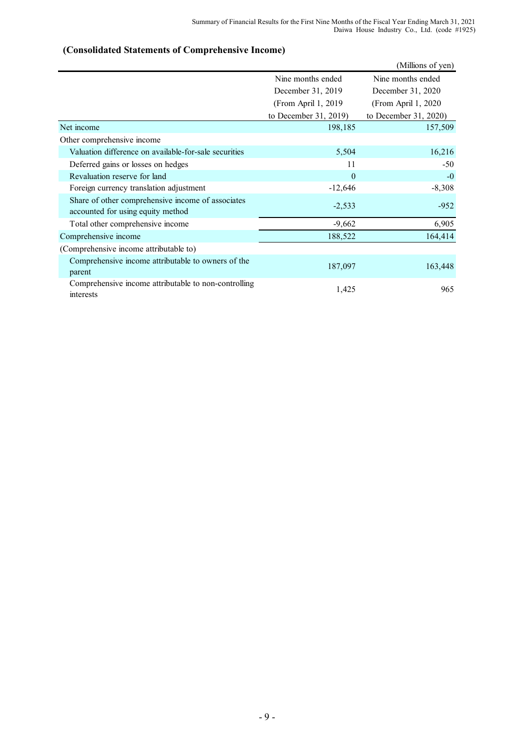# **(Consolidated Statements of Comprehensive Income)**

|                                                                                        |                        | (Millions of yen)      |
|----------------------------------------------------------------------------------------|------------------------|------------------------|
|                                                                                        | Nine months ended      | Nine months ended      |
|                                                                                        | December 31, 2019      | December 31, 2020      |
|                                                                                        | (From April 1, 2019)   | (From April 1, 2020    |
|                                                                                        | to December $31, 2019$ | to December $31, 2020$ |
| Net income                                                                             | 198,185                | 157,509                |
| Other comprehensive income                                                             |                        |                        |
| Valuation difference on available-for-sale securities                                  | 5,504                  | 16,216                 |
| Deferred gains or losses on hedges                                                     | 11                     | $-50$                  |
| Revaluation reserve for land                                                           | $\theta$               | $-0$                   |
| Foreign currency translation adjustment                                                | $-12,646$              | $-8,308$               |
| Share of other comprehensive income of associates<br>accounted for using equity method | $-2,533$               | $-952$                 |
| Total other comprehensive income                                                       | $-9,662$               | 6,905                  |
| Comprehensive income                                                                   | 188,522                | 164,414                |
| (Comprehensive income attributable to)                                                 |                        |                        |
| Comprehensive income attributable to owners of the<br>parent                           | 187,097                | 163,448                |
| Comprehensive income attributable to non-controlling<br>interests                      | 1,425                  | 965                    |